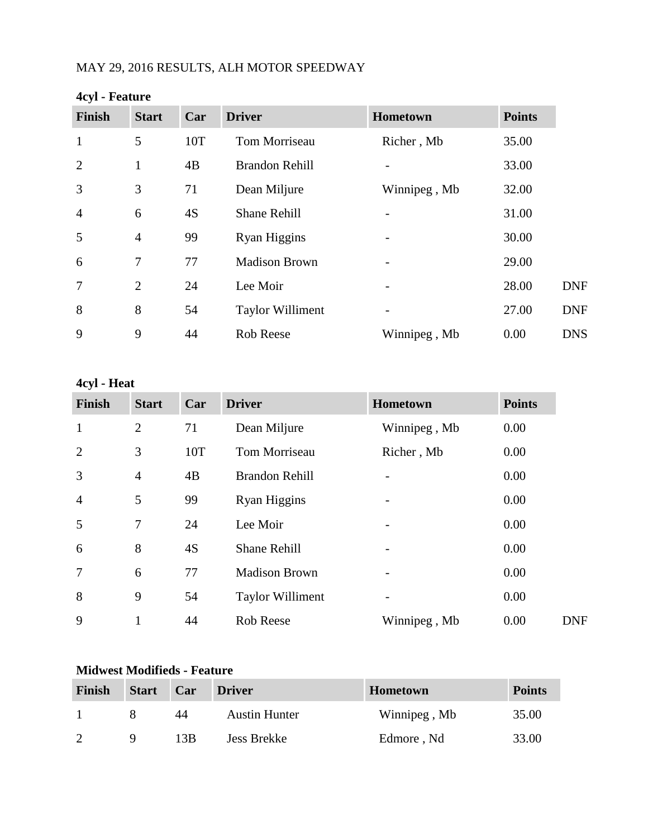# MAY 29, 2016 RESULTS, ALH MOTOR SPEEDWAY

| <b>Finish</b>   | <b>Start</b>   | Car | <b>Driver</b>           | Hometown     | <b>Points</b> |
|-----------------|----------------|-----|-------------------------|--------------|---------------|
| $\mathbf{1}$    | 5              | 10T | Tom Morriseau           | Richer, Mb   | 35.00         |
| $\overline{2}$  | 1              | 4B  | <b>Brandon Rehill</b>   |              | 33.00         |
| 3               | 3              | 71  | Dean Miljure            | Winnipeg, Mb | 32.00         |
| $\overline{4}$  | 6              | 4S  | <b>Shane Rehill</b>     |              | 31.00         |
| 5               | $\overline{4}$ | 99  | Ryan Higgins            |              | 30.00         |
| 6               | 7              | 77  | <b>Madison Brown</b>    |              | 29.00         |
| $7\phantom{.0}$ | 2              | 24  | Lee Moir                |              | 28.00         |
| 8               | 8              | 54  | <b>Taylor Williment</b> |              | 27.00         |
| 9               | 9              | 44  | Rob Reese               | Winnipeg, Mb | 0.00          |

### **4cyl - Feature**

# **4cyl - Heat**

| <b>Finish</b>  | <b>Start</b>   | Car | <b>Driver</b>           | Hometown     | <b>Points</b> |
|----------------|----------------|-----|-------------------------|--------------|---------------|
| $\mathbf{1}$   | $\overline{2}$ | 71  | Dean Miljure            | Winnipeg, Mb | 0.00          |
| $\overline{2}$ | 3              | 10T | Tom Morriseau           | Richer, Mb   | 0.00          |
| 3              | $\overline{4}$ | 4B  | <b>Brandon Rehill</b>   |              | 0.00          |
| $\overline{4}$ | 5              | 99  | Ryan Higgins            |              | 0.00          |
| 5              | $\overline{7}$ | 24  | Lee Moir                |              | 0.00          |
| 6              | 8              | 4S  | <b>Shane Rehill</b>     |              | 0.00          |
| 7              | 6              | 77  | <b>Madison Brown</b>    |              | 0.00          |
| 8              | 9              | 54  | <b>Taylor Williment</b> |              | 0.00          |
| 9              |                | 44  | Rob Reese               | Winnipeg, Mb | 0.00          |

## **Midwest Modifieds - Feature**

| <b>Finish</b> | <b>Start</b> | Car | <b>Driver</b>        | <b>Hometown</b> | <b>Points</b> |
|---------------|--------------|-----|----------------------|-----------------|---------------|
|               |              | 44  | <b>Austin Hunter</b> | Winnipeg, Mb    | 35.00         |
|               |              | 13B | <b>Jess Brekke</b>   | Edmore, Nd      | 33.00         |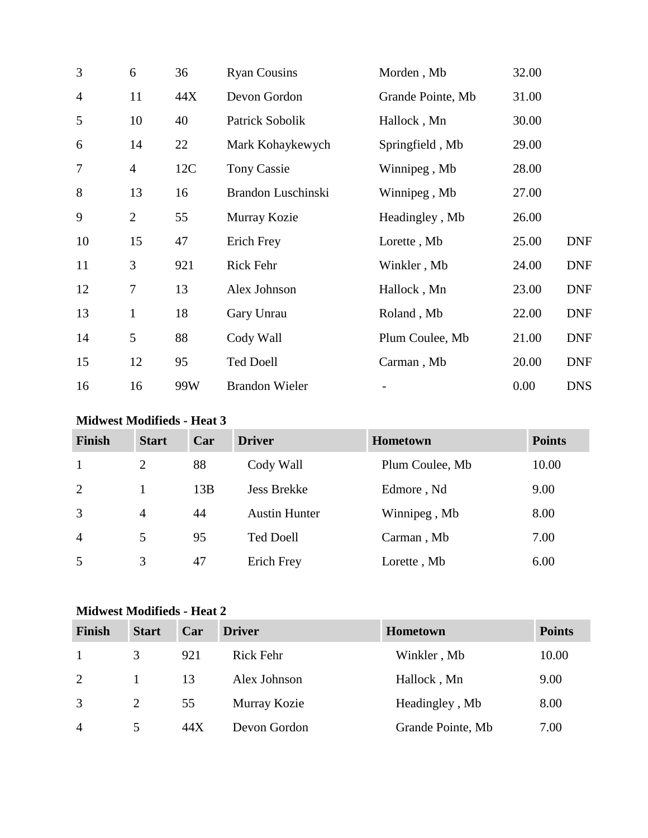| 3              | 6                | 36  | <b>Ryan Cousins</b>   | Morden, Mb        | 32.00 |            |
|----------------|------------------|-----|-----------------------|-------------------|-------|------------|
| $\overline{4}$ | 11               | 44X | Devon Gordon          | Grande Pointe, Mb | 31.00 |            |
| 5              | 10               | 40  | Patrick Sobolik       | Hallock, Mn       | 30.00 |            |
| 6              | 14               | 22  | Mark Kohaykewych      | Springfield, Mb   | 29.00 |            |
| 7              | $\overline{4}$   | 12C | <b>Tony Cassie</b>    | Winnipeg, Mb      | 28.00 |            |
| 8              | 13               | 16  | Brandon Luschinski    | Winnipeg, Mb      | 27.00 |            |
| 9              | $\overline{2}$   | 55  | Murray Kozie          | Headingley, Mb    | 26.00 |            |
| 10             | 15               | 47  | Erich Frey            | Lorette, Mb       | 25.00 | <b>DNF</b> |
| 11             | 3                | 921 | Rick Fehr             | Winkler, Mb       | 24.00 | <b>DNF</b> |
| 12             | $\boldsymbol{7}$ | 13  | Alex Johnson          | Hallock, Mn       | 23.00 | <b>DNF</b> |
| 13             | $\mathbf{1}$     | 18  | Gary Unrau            | Roland, Mb        | 22.00 | <b>DNF</b> |
| 14             | 5                | 88  | Cody Wall             | Plum Coulee, Mb   | 21.00 | <b>DNF</b> |
| 15             | 12               | 95  | <b>Ted Doell</b>      | Carman, Mb        | 20.00 | <b>DNF</b> |
| 16             | 16               | 99W | <b>Brandon Wieler</b> |                   | 0.00  | <b>DNS</b> |

## **Midwest Modifieds - Heat 3**

| <b>Finish</b>  | <b>Start</b>   | Car | <b>Driver</b>        | Hometown        | <b>Points</b> |
|----------------|----------------|-----|----------------------|-----------------|---------------|
| -1             | 2              | 88  | Cody Wall            | Plum Coulee, Mb | 10.00         |
| 2              |                | 13B | <b>Jess Brekke</b>   | Edmore, Nd      | 9.00          |
| 3              | $\overline{4}$ | 44  | <b>Austin Hunter</b> | Winnipeg, Mb    | 8.00          |
| $\overline{4}$ | 5              | 95  | <b>Ted Doell</b>     | Carman, Mb      | 7.00          |
| 5              | 3              | 47  | <b>Erich Frey</b>    | Lorette, Mb     | 6.00          |

## **Midwest Modifieds - Heat 2**

| <b>Finish</b>  | <b>Start</b>  | Car  | <b>Driver</b>    | <b>Hometown</b>   | <b>Points</b> |
|----------------|---------------|------|------------------|-------------------|---------------|
| $\mathbf{1}$   | 3             | 921  | <b>Rick Fehr</b> | Winkler, Mb       | 10.00         |
| 2              |               | 13   | Alex Johnson     | Hallock, Mn       | 9.00          |
| 3              |               | 55   | Murray Kozie     | Headingley, Mb    | 8.00          |
| $\overline{4}$ | $\mathcal{L}$ | 44 X | Devon Gordon     | Grande Pointe, Mb | 7.00          |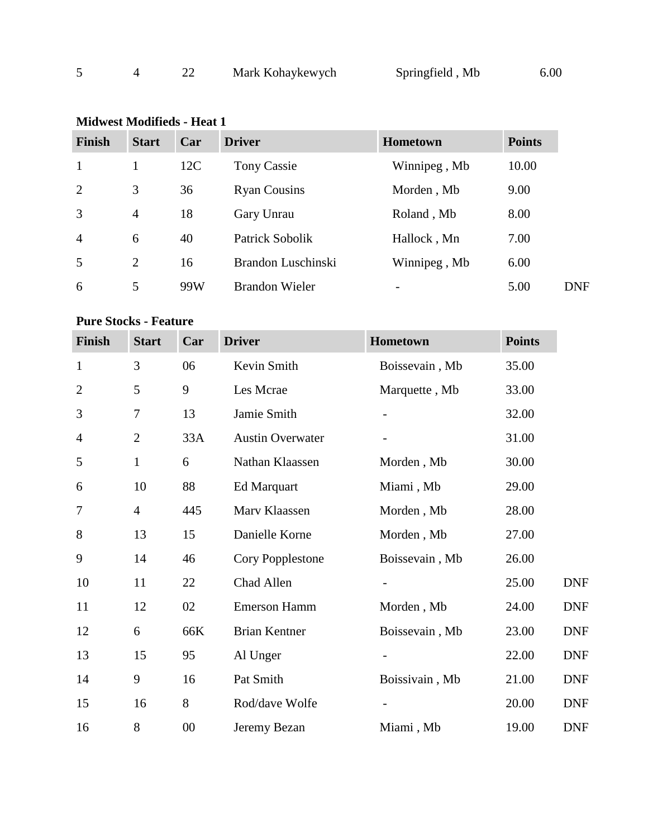|  |  | Mark Kohaykewych | Springfield, Mb | 6.00 |
|--|--|------------------|-----------------|------|
|--|--|------------------|-----------------|------|

| Finish | <b>Start</b>   | Car | <b>Driver</b>         | <b>Hometown</b>          | <b>Points</b> |
|--------|----------------|-----|-----------------------|--------------------------|---------------|
|        |                | 12C | <b>Tony Cassie</b>    | Winnipeg, Mb             | 10.00         |
| 2      | 3              | 36  | <b>Ryan Cousins</b>   | Morden, Mb               | 9.00          |
| 3      | $\overline{4}$ | 18  | Gary Unrau            | Roland, Mb               | 8.00          |
| 4      | 6              | 40  | Patrick Sobolik       | Hallock, Mn              | 7.00          |
| 5      | 2              | 16  | Brandon Luschinski    | Winnipeg, Mb             | 6.00          |
| 6      | 5              | 99W | <b>Brandon Wieler</b> | $\overline{\phantom{a}}$ | 5.00          |

## **Midwest Modifieds - Heat 1**

### **Pure Stocks - Feature**

| Finish         | <b>Start</b>   | Car    | <b>Driver</b>           | Hometown       | <b>Points</b> |            |
|----------------|----------------|--------|-------------------------|----------------|---------------|------------|
| $\mathbf{1}$   | 3              | 06     | Kevin Smith             | Boissevain, Mb | 35.00         |            |
| $\overline{2}$ | 5              | 9      | Les Mcrae               | Marquette, Mb  | 33.00         |            |
| 3              | $\tau$         | 13     | Jamie Smith             |                | 32.00         |            |
| $\overline{4}$ | $\overline{2}$ | 33A    | <b>Austin Overwater</b> |                | 31.00         |            |
| 5              | $\mathbf{1}$   | 6      | Nathan Klaassen         | Morden, Mb     | 30.00         |            |
| 6              | 10             | 88     | Ed Marquart             | Miami, Mb      | 29.00         |            |
| 7              | $\overline{4}$ | 445    | Marv Klaassen           | Morden, Mb     | 28.00         |            |
| 8              | 13             | 15     | Danielle Korne          | Morden, Mb     | 27.00         |            |
| 9              | 14             | 46     | Cory Popplestone        | Boissevain, Mb | 26.00         |            |
| 10             | 11             | 22     | Chad Allen              |                | 25.00         | <b>DNF</b> |
| 11             | 12             | 02     | <b>Emerson Hamm</b>     | Morden, Mb     | 24.00         | <b>DNF</b> |
| 12             | 6              | 66K    | <b>Brian Kentner</b>    | Boissevain, Mb | 23.00         | <b>DNF</b> |
| 13             | 15             | 95     | Al Unger                |                | 22.00         | <b>DNF</b> |
| 14             | 9              | 16     | Pat Smith               | Boissivain, Mb | 21.00         | <b>DNF</b> |
| 15             | 16             | 8      | Rod/dave Wolfe          |                | 20.00         | <b>DNF</b> |
| 16             | 8              | $00\,$ | Jeremy Bezan            | Miami, Mb      | 19.00         | <b>DNF</b> |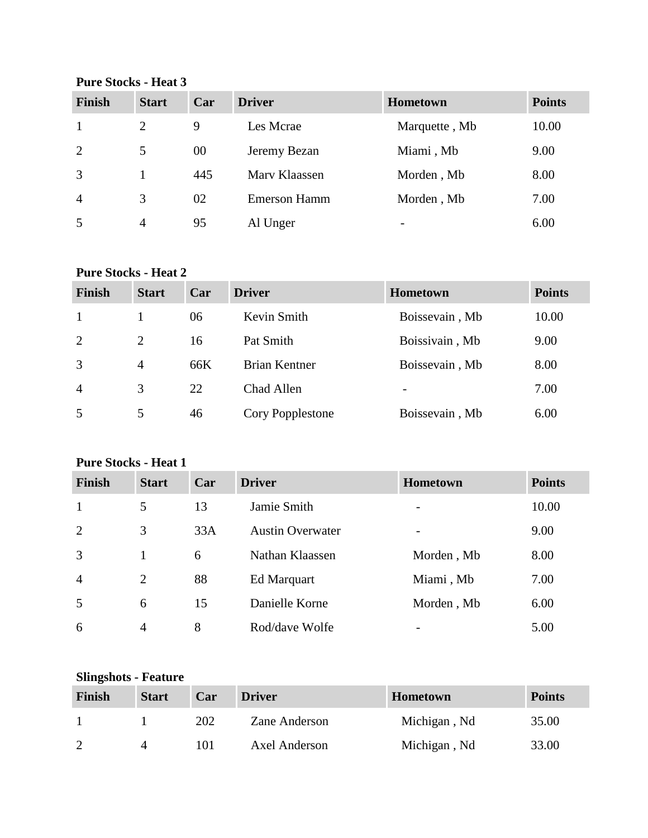**Pure Stocks - Heat 3**

| <b>Finish</b>  | <b>Start</b> | Car | <b>Driver</b>       | <b>Hometown</b>          | <b>Points</b> |
|----------------|--------------|-----|---------------------|--------------------------|---------------|
| -1             | 2            | 9   | Les Mcrae           | Marquette, Mb            | 10.00         |
| 2              | 5            | 00  | Jeremy Bezan        | Miami, Mb                | 9.00          |
| 3              |              | 445 | Mary Klaassen       | Morden, Mb               | 8.00          |
| $\overline{4}$ | 3            | 02  | <b>Emerson Hamm</b> | Morden, Mb               | 7.00          |
| 5              | 4            | 95  | Al Unger            | $\overline{\phantom{0}}$ | 6.00          |

#### **Pure Stocks - Heat 2**

| <b>Finish</b>  | <b>Start</b>   | Car | <b>Driver</b>    | <b>Hometown</b>          | <b>Points</b> |
|----------------|----------------|-----|------------------|--------------------------|---------------|
| $\mathbf{1}$   |                | 06  | Kevin Smith      | Boissevain, Mb           | 10.00         |
| 2              | 2              | 16  | Pat Smith        | Boissivain, Mb           | 9.00          |
| 3              | $\overline{4}$ | 66K | Brian Kentner    | Boissevain, Mb           | 8.00          |
| $\overline{4}$ | 3              | 22  | Chad Allen       | $\overline{\phantom{0}}$ | 7.00          |
| 5              | 5              | 46  | Cory Popplestone | Boissevain, Mb           | 6.00          |

## **Pure Stocks - Heat 1**

| Finish         | <b>Start</b> | Car | <b>Driver</b>           | <b>Hometown</b>          | <b>Points</b> |
|----------------|--------------|-----|-------------------------|--------------------------|---------------|
| $\mathbf{1}$   | 5            | 13  | Jamie Smith             | -                        | 10.00         |
| 2              | 3            | 33A | <b>Austin Overwater</b> | $\overline{\phantom{0}}$ | 9.00          |
| 3              |              | 6   | Nathan Klaassen         | Morden, Mb               | 8.00          |
| $\overline{4}$ | 2            | 88  | Ed Marquart             | Miami, Mb                | 7.00          |
| 5              | 6            | 15  | Danielle Korne          | Morden, Mb               | 6.00          |
| 6              | 4            | 8   | Rod/dave Wolfe          |                          | 5.00          |

## **Slingshots - Feature**

| Finish        | <b>Start</b> | Car | <b>Driver</b> | <b>Hometown</b> | <b>Points</b> |
|---------------|--------------|-----|---------------|-----------------|---------------|
|               |              | 202 | Zane Anderson | Michigan, Nd    | 35.00         |
| $\mathcal{D}$ |              | 101 | Axel Anderson | Michigan, Nd    | 33.00         |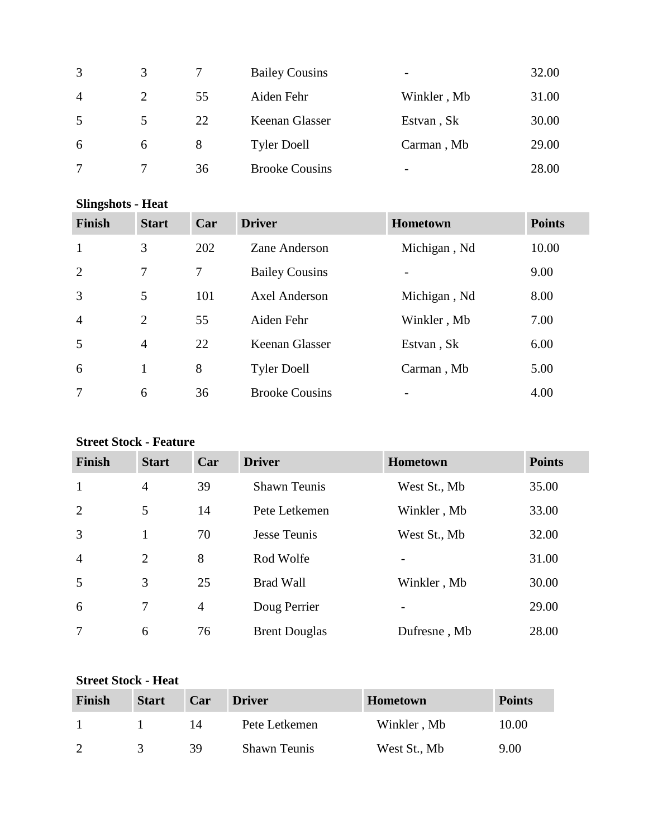| 3              | 3 |    | <b>Bailey Cousins</b> | $\qquad \qquad \blacksquare$ | 32.00 |
|----------------|---|----|-----------------------|------------------------------|-------|
| $\overline{4}$ | 2 | 55 | Aiden Fehr            | Winkler, Mb                  | 31.00 |
| 5              | 5 | 22 | Keenan Glasser        | Estvan, Sk                   | 30.00 |
| 6              | 6 | 8  | <b>Tyler Doell</b>    | Carman, Mb                   | 29.00 |
| 7              | 7 | 36 | <b>Brooke Cousins</b> | $\overline{\phantom{0}}$     | 28.00 |

| <b>Slingshots - Heat</b> |                |                |                       |                 |               |  |
|--------------------------|----------------|----------------|-----------------------|-----------------|---------------|--|
| <b>Finish</b>            | <b>Start</b>   | Car            | <b>Driver</b>         | <b>Hometown</b> | <b>Points</b> |  |
| 1                        | 3              | 202            | Zane Anderson         | Michigan, Nd    | 10.00         |  |
| 2                        | 7              | $\overline{7}$ | <b>Bailey Cousins</b> | $\overline{a}$  | 9.00          |  |
| 3                        | 5              | 101            | Axel Anderson         | Michigan, Nd    | 8.00          |  |
| $\overline{4}$           | $\overline{2}$ | 55             | Aiden Fehr            | Winkler, Mb     | 7.00          |  |
| 5                        | $\overline{4}$ | 22             | Keenan Glasser        | Estvan, Sk      | 6.00          |  |
| 6                        | $\mathbf{1}$   | 8              | <b>Tyler Doell</b>    | Carman, Mb      | 5.00          |  |
|                          | 6              | 36             | <b>Brooke Cousins</b> |                 | 4.00          |  |

## **Street Stock - Feature**

| <b>Finish</b>  | <b>Start</b>   | Car            | <b>Driver</b>        | <b>Hometown</b> | <b>Points</b> |
|----------------|----------------|----------------|----------------------|-----------------|---------------|
| $\mathbf{1}$   | $\overline{4}$ | 39             | <b>Shawn Teunis</b>  | West St., Mb    | 35.00         |
| 2              | 5              | 14             | Pete Letkemen        | Winkler, Mb     | 33.00         |
| 3              | 1              | 70             | <b>Jesse Teunis</b>  | West St., Mb    | 32.00         |
| $\overline{4}$ | $\overline{2}$ | 8              | Rod Wolfe            |                 | 31.00         |
| 5              | 3              | 25             | <b>Brad Wall</b>     | Winkler, Mb     | 30.00         |
| 6              | 7              | $\overline{4}$ | Doug Perrier         |                 | 29.00         |
| $\overline{7}$ | 6              | 76             | <b>Brent Douglas</b> | Dufresne, Mb    | 28.00         |

## **Street Stock - Heat**

| Finish | <b>Start</b> | Car | <b>Driver</b>       | <b>Hometown</b> | <b>Points</b> |
|--------|--------------|-----|---------------------|-----------------|---------------|
|        |              | 14  | Pete Letkemen       | Winkler, Mb     | 10.00         |
|        |              | 39  | <b>Shawn Teunis</b> | West St., Mb    | 9.00          |